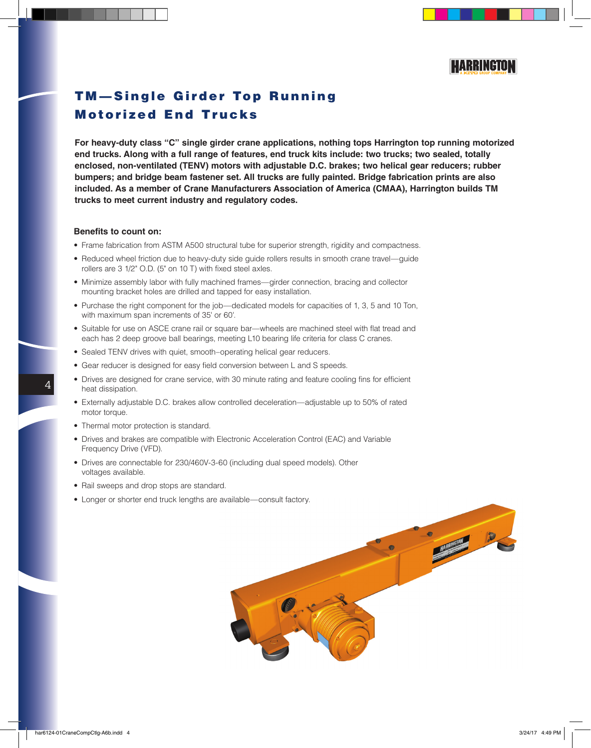

# TM — Single Girder Top Running Motorized End Trucks

**For heavy-duty class "C" single girder crane applications, nothing tops Harrington top running motorized end trucks. Along with a full range of features, end truck kits include: two trucks; two sealed, totally enclosed, non-ventilated (TENV) motors with adjustable D.C. brakes; two helical gear reducers; rubber bumpers; and bridge beam fastener set. All trucks are fully painted. Bridge fabrication prints are also included. As a member of Crane Manufacturers Association of America (CMAA), Harrington builds TM trucks to meet current industry and regulatory codes.**

## **Benefits to count on:**

- Frame fabrication from ASTM A500 structural tube for superior strength, rigidity and compactness.
- Reduced wheel friction due to heavy-duty side guide rollers results in smooth crane travel—guide rollers are 3 1/2" O.D. (5" on 10 T) with fixed steel axles.
- Minimize assembly labor with fully machined frames—girder connection, bracing and collector mounting bracket holes are drilled and tapped for easy installation.
- Purchase the right component for the job—dedicated models for capacities of 1, 3, 5 and 10 Ton, with maximum span increments of 35' or 60'.
- Suitable for use on ASCE crane rail or square bar—wheels are machined steel with flat tread and each has 2 deep groove ball bearings, meeting L10 bearing life criteria for class C cranes.
- Sealed TENV drives with quiet, smooth–operating helical gear reducers.
- Gear reducer is designed for easy field conversion between L and S speeds.
- Drives are designed for crane service, with 30 minute rating and feature cooling fins for efficient heat dissipation.
- Externally adjustable D.C. brakes allow controlled deceleration—adjustable up to 50% of rated motor torque.
- Thermal motor protection is standard.
- Drives and brakes are compatible with Electronic Acceleration Control (EAC) and Variable Frequency Drive (VFD).
- Drives are connectable for 230/460V-3-60 (including dual speed models). Other voltages available.
- Rail sweeps and drop stops are standard.
- Longer or shorter end truck lengths are available—consult factory.



4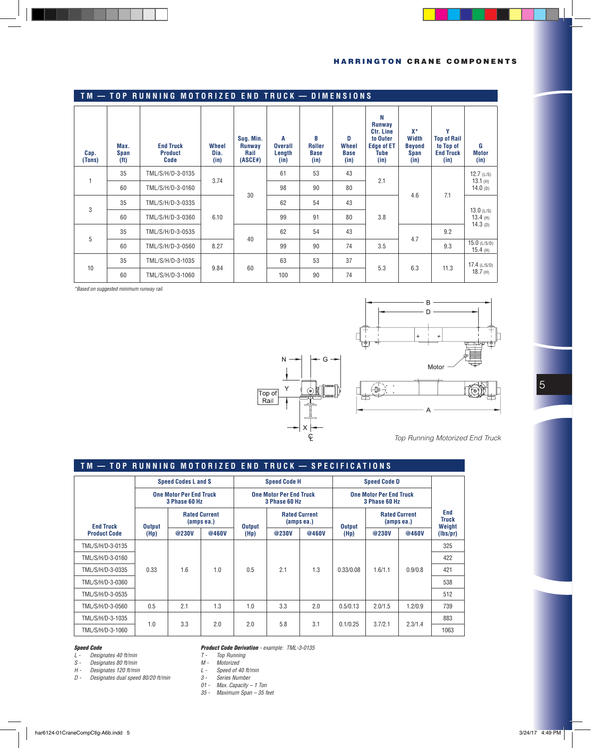| TM — TOP RUNNING MOTORIZED END TRUCK — DIMENSIONS |  |
|---------------------------------------------------|--|
|---------------------------------------------------|--|

| Cap.<br>(Tons) | Max.<br><b>Span</b><br>(f <sup>t</sup> ) | <b>End Truck</b><br><b>Product</b><br>Code | Wheel<br>Dia.<br>(in) | Sug. Min.<br>Runway<br>Rail<br>(ASE#) | A<br><b>Overall</b><br>Length<br>(in) | B<br><b>Roller</b><br><b>Base</b><br>(in) | D<br>Wheel<br><b>Base</b><br>(in) | N<br>Runway<br>Ctr. Line<br>to Outer<br><b>Edge of ET</b><br><b>Tube</b><br>(in) | X*<br>Width<br><b>Beyond</b><br><b>Span</b><br>(in) | Y<br><b>Top of Rail</b><br>to Top of<br><b>End Truck</b><br>(in) | G<br><b>Motor</b><br>(in)    |
|----------------|------------------------------------------|--------------------------------------------|-----------------------|---------------------------------------|---------------------------------------|-------------------------------------------|-----------------------------------|----------------------------------------------------------------------------------|-----------------------------------------------------|------------------------------------------------------------------|------------------------------|
| $\overline{1}$ | 35                                       | TML/S/H/D-3-0135                           | 3.74                  | 30                                    | 61                                    | 53                                        | 43                                | 2.1                                                                              | 4.6                                                 | 7.1                                                              | 12.7(L/S)<br>$13.1$ (H)      |
|                | 60                                       | TML/S/H/D-3-0160                           |                       |                                       | 98                                    | 90                                        | 80                                |                                                                                  |                                                     |                                                                  | 14.0 $(D)$                   |
| 3              | 35                                       | TML/S/H/D-3-0335                           |                       |                                       | 62                                    | 54                                        | 43                                |                                                                                  |                                                     |                                                                  |                              |
|                | 60                                       | TML/S/H/D-3-0360                           | 6.10                  |                                       | 99                                    | 91                                        | 80                                | 3.8                                                                              |                                                     |                                                                  | 13.0(L/S)<br>$13.4$ (H)      |
| 5              | 35                                       | TML/S/H/D-3-0535                           |                       |                                       | 62                                    | 54                                        | 43                                |                                                                                  |                                                     | 9.2                                                              | 14.3 $(D)$                   |
|                | 60                                       | TML/S/H/D-3-0560                           | 8.27                  | 40                                    | 99                                    | 90                                        | 74                                | 3.5                                                                              | 4.7                                                 | 9.3                                                              | $15.0$ (L/S/D)<br>$15.4$ (H) |
| 10             | 35                                       | TML/S/H/D-3-1035                           |                       | 60                                    | 63                                    | 53                                        | 37                                |                                                                                  | 6.3                                                 |                                                                  | $17.4$ (L/S/D)               |
|                | 60                                       | 9.84<br>TML/S/H/D-3-1060                   |                       | 100                                   | 90                                    | 74                                        | 5.3                               |                                                                                  | 11.3                                                | $18.7$ (H)                                                       |                              |

*\*Based on suggested minimum runway rail.*



*Top Running Motorized End Truck*

 $\vert$ 5

| TM — TOP RUNNING MOTORIZED END TRUCK — SPECIFICATIONS |                                                                |       |               |      |                                                 |                                    |                                                 |                                             |           |                               |         |     |
|-------------------------------------------------------|----------------------------------------------------------------|-------|---------------|------|-------------------------------------------------|------------------------------------|-------------------------------------------------|---------------------------------------------|-----------|-------------------------------|---------|-----|
|                                                       | <b>Speed Codes L and S</b>                                     |       |               |      | <b>Speed Code H</b>                             |                                    | <b>Speed Code D</b>                             |                                             |           |                               |         |     |
|                                                       | <b>One Motor Per End Truck</b><br>3 Phase 60 Hz                |       |               |      | <b>One Motor Per End Truck</b><br>3 Phase 60 Hz |                                    | <b>One Motor Per End Truck</b><br>3 Phase 60 Hz |                                             |           |                               |         |     |
| <b>End Truck</b>                                      | <b>Rated Current</b><br>(am <sub>s</sub> ea.)<br><b>Output</b> |       | <b>Output</b> |      |                                                 | <b>Rated Current</b><br>(amps ea.) | <b>Output</b>                                   | <b>Rated Current</b><br>${\rm (amps\,ea.)}$ |           | End<br><b>Truck</b><br>Weight |         |     |
| <b>Product Code</b>                                   | (Hp)                                                           | @230V | @460V         | (Hp) | @230V                                           | @460V                              | (Hp)                                            | @230V                                       | @460V     | (lbs(pr)                      |         |     |
| TML/S/H/D-3-0135                                      |                                                                |       |               |      |                                                 |                                    |                                                 |                                             |           |                               | 325     |     |
| TML/S/H/D-3-0160                                      |                                                                |       |               |      |                                                 |                                    |                                                 |                                             |           | 422                           |         |     |
| TML/S/H/D-3-0335                                      | 0.33                                                           |       |               | 1.6  | 1.0                                             | 0.5                                | 2.1                                             | 1.3                                         | 0.33/0.08 | 1.6/1.1                       | 0.9/0.8 | 421 |
| TML/S/H/D-3-0360                                      |                                                                |       |               |      |                                                 |                                    |                                                 |                                             |           |                               |         | 538 |
| TML/S/H/D-3-0535                                      |                                                                |       |               |      |                                                 |                                    |                                                 |                                             |           |                               | 512     |     |
| TML/S/H/D-3-0560                                      | 0.5                                                            | 2.1   | 1.3           | 1.0  | 3.3                                             | 2.0                                | 0.5/0.13                                        | 2.0/1.5                                     | 1.2/0.9   | 739                           |         |     |
| TML/S/H/D-3-1035                                      |                                                                |       |               |      |                                                 |                                    |                                                 |                                             |           | 883                           |         |     |
| TML/S/H/D-3-1060                                      | 1.0                                                            | 3.3   | 2.0           | 2.0  | 5.8                                             | 3.1                                | 0.1/0.25                                        | 3.7/2.1                                     | 2.3/1.4   | 1063                          |         |     |
|                                                       |                                                                |       |               |      |                                                 |                                    |                                                 |                                             |           |                               |         |     |

*L - Designates 40 ft/min T - Top Running*

*S - Designates 80 ft/min M - Motorized*

*H - Designates 120 ft/min L - Speed of 40 ft/min*

*D - Designates dual speed 80/20 ft/min* 

**Speed Code Code Code Code Code Derivation** - example: TML-3-0135<br>  $L$ - Designates 40 ft/min<br>  $S$ - Designates 80 ft/min

 *01 - Max. Capacity – 1 Ton*

 *35 - Maximum Span – 35 feet*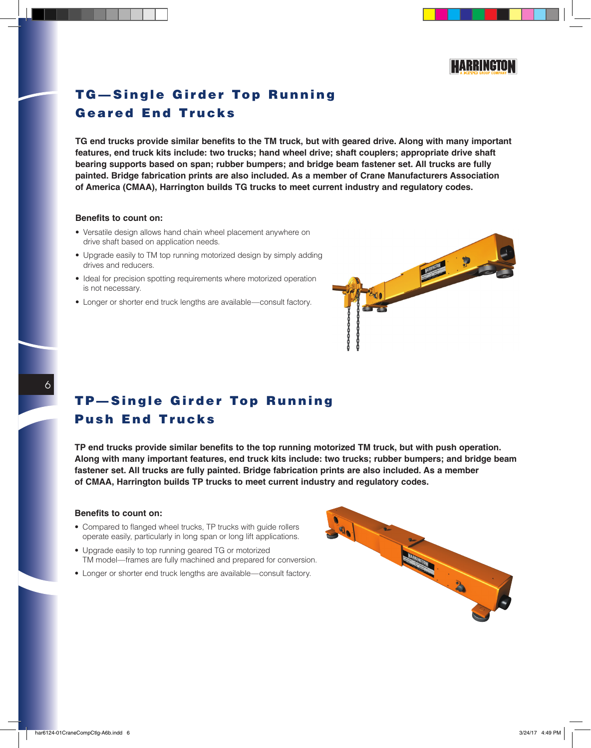

## TG — Single Girder Top Running Geared End Trucks

**TG end trucks provide similar benefits to the TM truck, but with geared drive. Along with many important features, end truck kits include: two trucks; hand wheel drive; shaft couplers; appropriate drive shaft bearing supports based on span; rubber bumpers; and bridge beam fastener set. All trucks are fully painted. Bridge fabrication prints are also included. As a member of Crane Manufacturers Association of America (CMAA), Harrington builds TG trucks to meet current industry and regulatory codes.**

## **Benefits to count on:**

- Versatile design allows hand chain wheel placement anywhere on drive shaft based on application needs.
- Upgrade easily to TM top running motorized design by simply adding drives and reducers.
- Ideal for precision spotting requirements where motorized operation is not necessary.
- Longer or shorter end truck lengths are available—consult factory.



# TP — Single Girder Top Running Push End Trucks

**TP end trucks provide similar benefits to the top running motorized TM truck, but with push operation. Along with many important features, end truck kits include: two trucks; rubber bumpers; and bridge beam fastener set. All trucks are fully painted. Bridge fabrication prints are also included. As a member of CMAA, Harrington builds TP trucks to meet current industry and regulatory codes.**

## **Benefits to count on:**

- Compared to flanged wheel trucks, TP trucks with guide rollers operate easily, particularly in long span or long lift applications.
- Upgrade easily to top running geared TG or motorized TM model—frames are fully machined and prepared for conversion.
- Longer or shorter end truck lengths are available—consult factory.